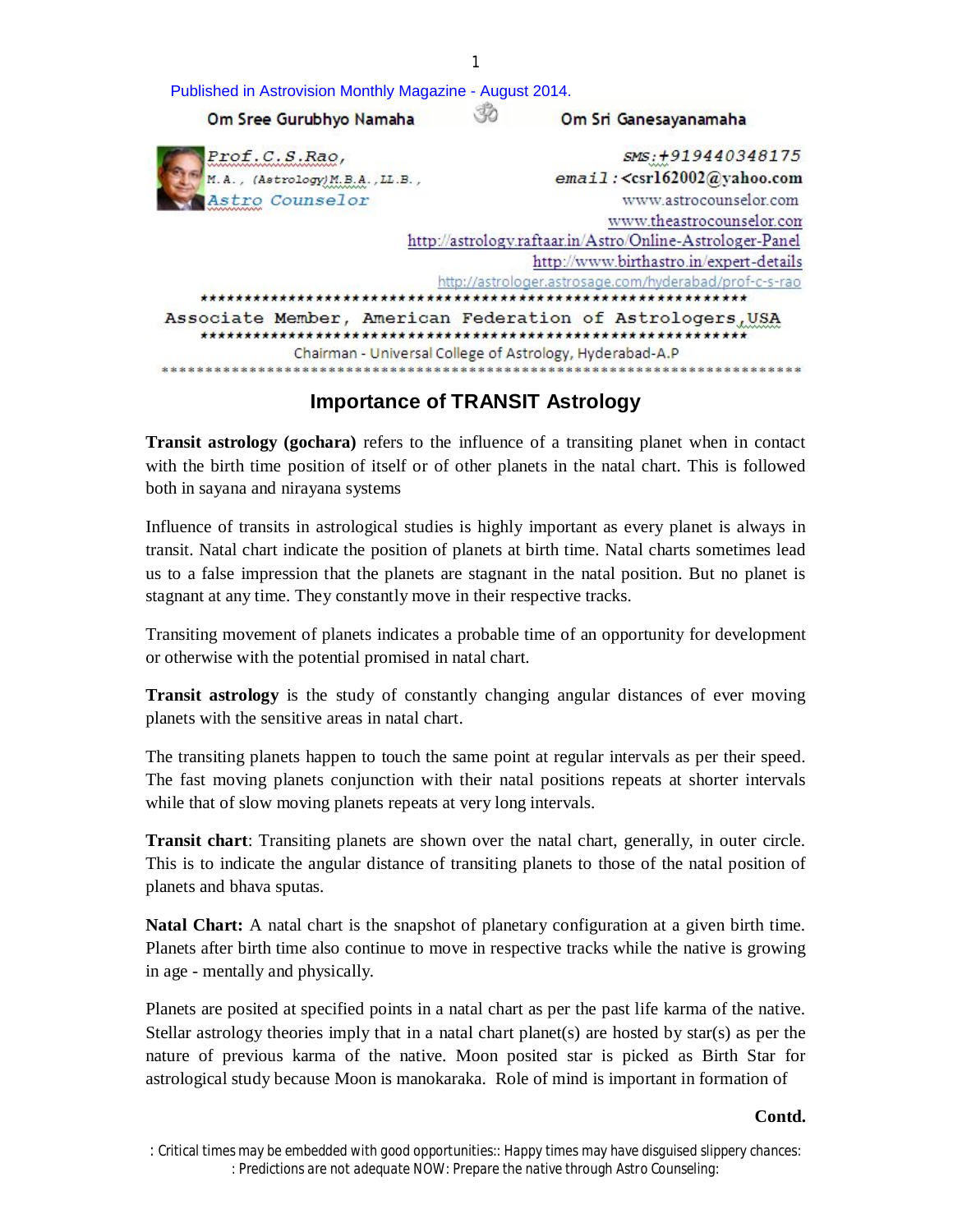| Published in Astrovision Monthly Magazine - August 2014. |                                                            |
|----------------------------------------------------------|------------------------------------------------------------|
| Om Sree Gurubhyo Namaha                                  | Om Sri Ganesayanamaha                                      |
| Prof.C.S.Rao,                                            | SMS: +919440348175                                         |
| M.A., (Astrology) M.B.A., LL.B.,                         | email: <csrl62002@yahoo.com< td=""></csrl62002@yahoo.com<> |
| Astro Counselor                                          | www.astrocounselor.com                                     |
|                                                          | www.theastrocounselor.com                                  |
|                                                          | http://astrology.raftaar.in/Astro/Online-Astrologer-Panel  |
|                                                          | http://www.birthastro.in/expert-details                    |
|                                                          | http://astrologer.astrosage.com/hyderabad/prof-c-s-rao     |
|                                                          |                                                            |
|                                                          | Associate Member, American Federation of Astrologers, USA  |
|                                                          | Chairman - Universal College of Astrology, Hyderabad-A.P   |

1

# **Importance of TRANSIT Astrology**

**Transit astrology (gochara)** refers to the influence of a transiting planet when in contact with the birth time position of itself or of other planets in the natal chart. This is followed both in sayana and nirayana systems

Influence of transits in astrological studies is highly important as every planet is always in transit. Natal chart indicate the position of planets at birth time. Natal charts sometimes lead us to a false impression that the planets are stagnant in the natal position. But no planet is stagnant at any time. They constantly move in their respective tracks.

Transiting movement of planets indicates a probable time of an opportunity for development or otherwise with the potential promised in natal chart.

**Transit astrology** is the study of constantly changing angular distances of ever moving planets with the sensitive areas in natal chart.

The transiting planets happen to touch the same point at regular intervals as per their speed. The fast moving planets conjunction with their natal positions repeats at shorter intervals while that of slow moving planets repeats at very long intervals.

**Transit chart**: Transiting planets are shown over the natal chart, generally, in outer circle. This is to indicate the angular distance of transiting planets to those of the natal position of planets and bhava sputas.

**Natal Chart:** A natal chart is the snapshot of planetary configuration at a given birth time. Planets after birth time also continue to move in respective tracks while the native is growing in age - mentally and physically.

Planets are posited at specified points in a natal chart as per the past life karma of the native. Stellar astrology theories imply that in a natal chart planet(s) are hosted by star(s) as per the nature of previous karma of the native. Moon posited star is picked as Birth Star for astrological study because Moon is manokaraka. Role of mind is important in formation of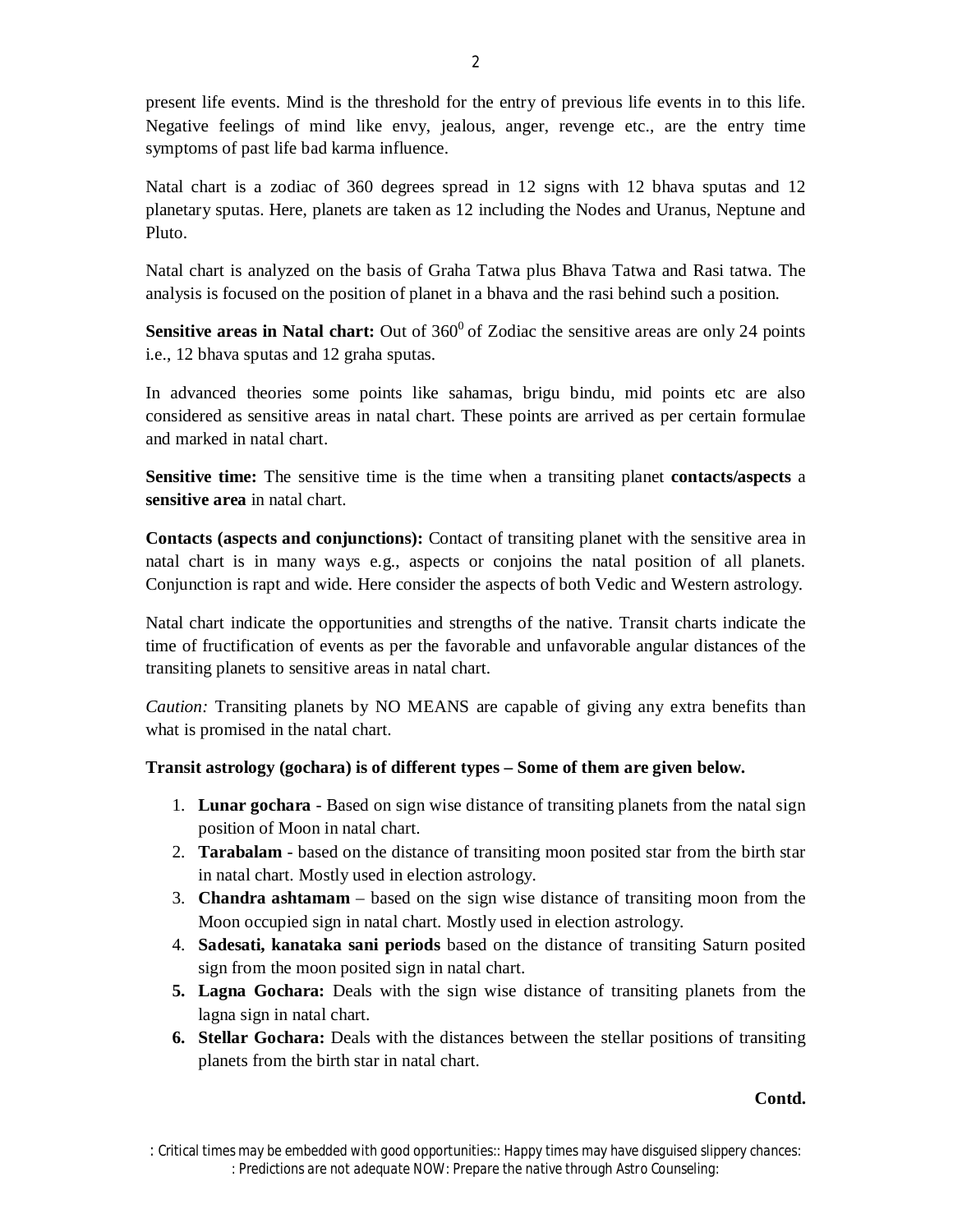present life events. Mind is the threshold for the entry of previous life events in to this life. Negative feelings of mind like envy, jealous, anger, revenge etc., are the entry time symptoms of past life bad karma influence.

Natal chart is a zodiac of 360 degrees spread in 12 signs with 12 bhava sputas and 12 planetary sputas. Here, planets are taken as 12 including the Nodes and Uranus, Neptune and Pluto.

Natal chart is analyzed on the basis of Graha Tatwa plus Bhava Tatwa and Rasi tatwa. The analysis is focused on the position of planet in a bhava and the rasi behind such a position.

**Sensitive areas in Natal chart:** Out of 360<sup>0</sup> of Zodiac the sensitive areas are only 24 points i.e., 12 bhava sputas and 12 graha sputas.

In advanced theories some points like sahamas, brigu bindu, mid points etc are also considered as sensitive areas in natal chart. These points are arrived as per certain formulae and marked in natal chart.

**Sensitive time:** The sensitive time is the time when a transiting planet **contacts/aspects** a **sensitive area** in natal chart.

**Contacts (aspects and conjunctions):** Contact of transiting planet with the sensitive area in natal chart is in many ways e.g., aspects or conjoins the natal position of all planets. Conjunction is rapt and wide. Here consider the aspects of both Vedic and Western astrology.

Natal chart indicate the opportunities and strengths of the native. Transit charts indicate the time of fructification of events as per the favorable and unfavorable angular distances of the transiting planets to sensitive areas in natal chart.

*Caution:* Transiting planets by NO MEANS are capable of giving any extra benefits than what is promised in the natal chart.

## **Transit astrology (gochara) is of different types – Some of them are given below.**

- 1. **Lunar gochara** Based on sign wise distance of transiting planets from the natal sign position of Moon in natal chart.
- 2. **Tarabalam** based on the distance of transiting moon posited star from the birth star in natal chart. Mostly used in election astrology.
- 3. **Chandra ashtamam** based on the sign wise distance of transiting moon from the Moon occupied sign in natal chart. Mostly used in election astrology.
- 4. **Sadesati, kanataka sani periods** based on the distance of transiting Saturn posited sign from the moon posited sign in natal chart.
- **5. Lagna Gochara:** Deals with the sign wise distance of transiting planets from the lagna sign in natal chart.
- **6. Stellar Gochara:** Deals with the distances between the stellar positions of transiting planets from the birth star in natal chart.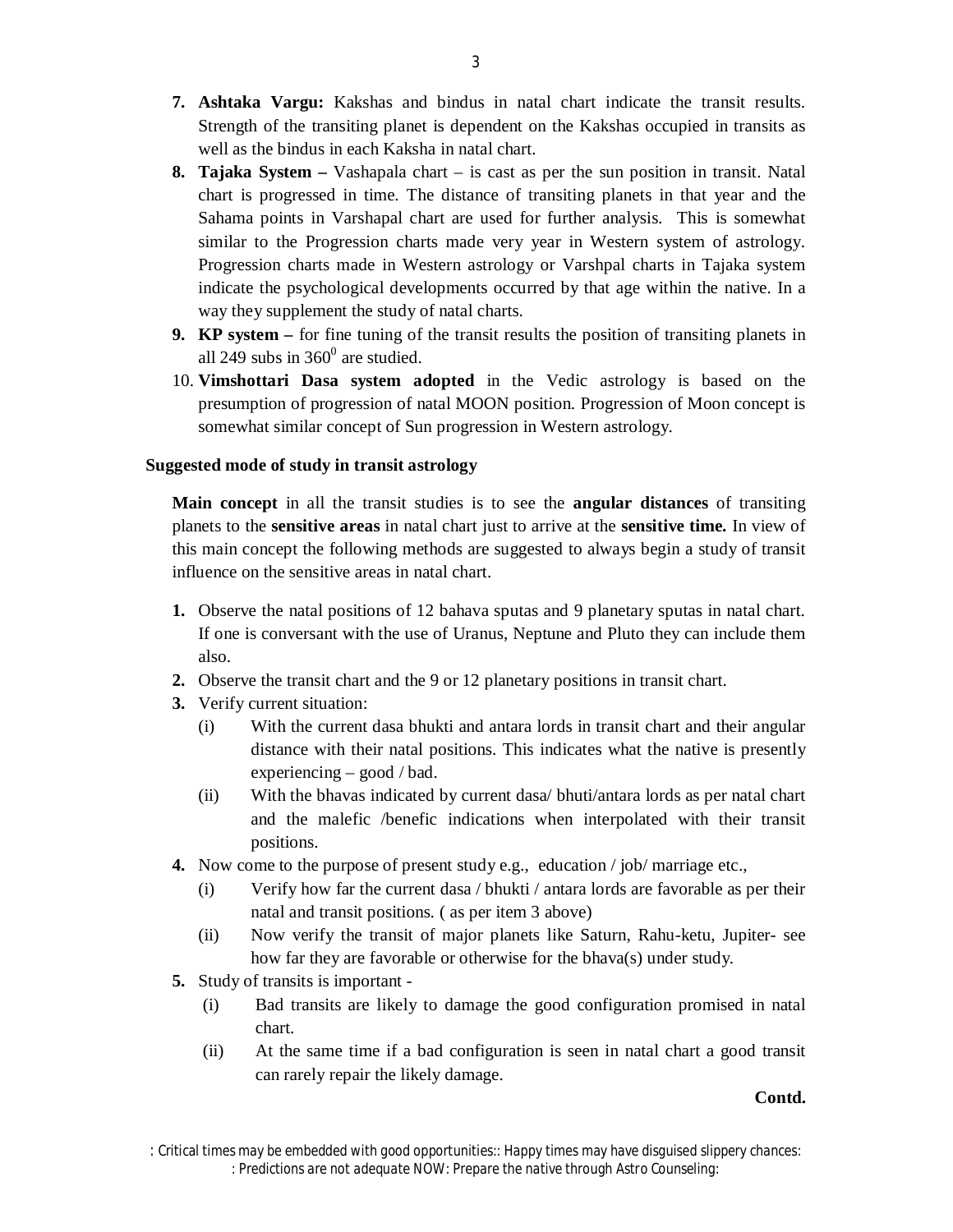- **7. Ashtaka Vargu:** Kakshas and bindus in natal chart indicate the transit results. Strength of the transiting planet is dependent on the Kakshas occupied in transits as well as the bindus in each Kaksha in natal chart.
- **8. Tajaka System –** Vashapala chart is cast as per the sun position in transit. Natal chart is progressed in time. The distance of transiting planets in that year and the Sahama points in Varshapal chart are used for further analysis. This is somewhat similar to the Progression charts made very year in Western system of astrology. Progression charts made in Western astrology or Varshpal charts in Tajaka system indicate the psychological developments occurred by that age within the native. In a way they supplement the study of natal charts.
- **9. KP system –** for fine tuning of the transit results the position of transiting planets in all 249 subs in  $360^{\circ}$  are studied.
- 10. **Vimshottari Dasa system adopted** in the Vedic astrology is based on the presumption of progression of natal MOON position. Progression of Moon concept is somewhat similar concept of Sun progression in Western astrology.

### **Suggested mode of study in transit astrology**

**Main concept** in all the transit studies is to see the **angular distances** of transiting planets to the **sensitive areas** in natal chart just to arrive at the **sensitive time.** In view of this main concept the following methods are suggested to always begin a study of transit influence on the sensitive areas in natal chart.

- **1.** Observe the natal positions of 12 bahava sputas and 9 planetary sputas in natal chart. If one is conversant with the use of Uranus, Neptune and Pluto they can include them also.
- **2.** Observe the transit chart and the 9 or 12 planetary positions in transit chart.
- **3.** Verify current situation:
	- (i) With the current dasa bhukti and antara lords in transit chart and their angular distance with their natal positions. This indicates what the native is presently experiencing – good / bad.
	- (ii) With the bhavas indicated by current dasa/ bhuti/antara lords as per natal chart and the malefic /benefic indications when interpolated with their transit positions.
- **4.** Now come to the purpose of present study e.g., education / job/ marriage etc.,
	- (i) Verify how far the current dasa / bhukti / antara lords are favorable as per their natal and transit positions. ( as per item 3 above)
	- (ii) Now verify the transit of major planets like Saturn, Rahu-ketu, Jupiter- see how far they are favorable or otherwise for the bhava(s) under study.
- **5.** Study of transits is important
	- (i) Bad transits are likely to damage the good configuration promised in natal chart.
	- (ii) At the same time if a bad configuration is seen in natal chart a good transit can rarely repair the likely damage.

*<sup>:</sup> Critical times may be embedded with good opportunities:: Happy times may have disguised slippery chances: : Predictions are not adequate NOW: Prepare the native through Astro Counseling:*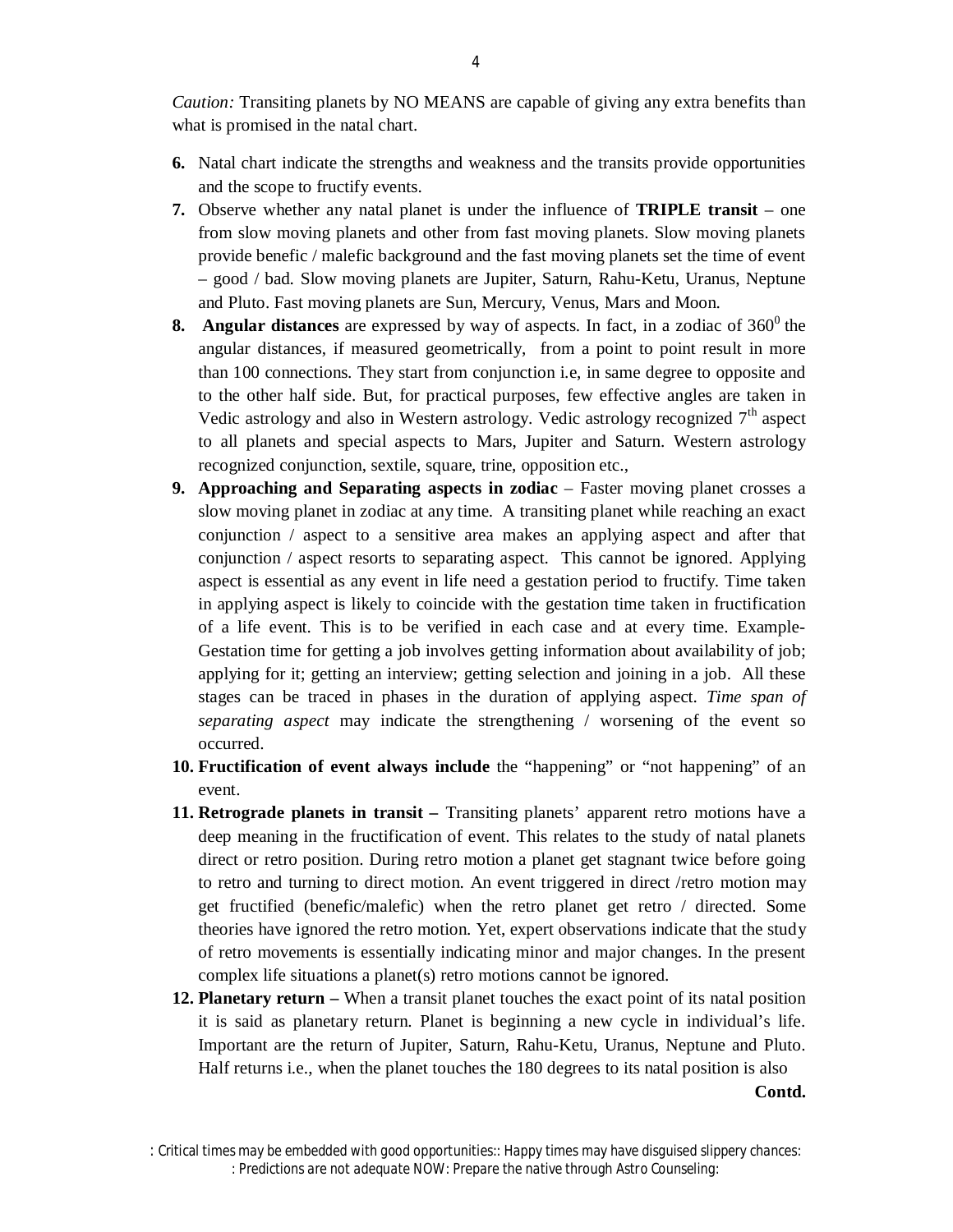*Caution:* Transiting planets by NO MEANS are capable of giving any extra benefits than what is promised in the natal chart.

- **6.** Natal chart indicate the strengths and weakness and the transits provide opportunities and the scope to fructify events.
- **7.** Observe whether any natal planet is under the influence of **TRIPLE transit** one from slow moving planets and other from fast moving planets. Slow moving planets provide benefic / malefic background and the fast moving planets set the time of event – good / bad. Slow moving planets are Jupiter, Saturn, Rahu-Ketu, Uranus, Neptune and Pluto. Fast moving planets are Sun, Mercury, Venus, Mars and Moon.
- **8.** Angular distances are expressed by way of aspects. In fact, in a zodiac of  $360^\circ$  the angular distances, if measured geometrically, from a point to point result in more than 100 connections. They start from conjunction i.e, in same degree to opposite and to the other half side. But, for practical purposes, few effective angles are taken in Vedic astrology and also in Western astrology. Vedic astrology recognized 7<sup>th</sup> aspect to all planets and special aspects to Mars, Jupiter and Saturn. Western astrology recognized conjunction, sextile, square, trine, opposition etc.,
- **9. Approaching and Separating aspects in zodiac**  Faster moving planet crosses a slow moving planet in zodiac at any time. A transiting planet while reaching an exact conjunction / aspect to a sensitive area makes an applying aspect and after that conjunction / aspect resorts to separating aspect. This cannot be ignored. Applying aspect is essential as any event in life need a gestation period to fructify. Time taken in applying aspect is likely to coincide with the gestation time taken in fructification of a life event. This is to be verified in each case and at every time. Example-Gestation time for getting a job involves getting information about availability of job; applying for it; getting an interview; getting selection and joining in a job. All these stages can be traced in phases in the duration of applying aspect. *Time span of separating aspect* may indicate the strengthening / worsening of the event so occurred.
- **10. Fructification of event always include** the "happening" or "not happening" of an event.
- **11. Retrograde planets in transit –** Transiting planets' apparent retro motions have a deep meaning in the fructification of event. This relates to the study of natal planets direct or retro position. During retro motion a planet get stagnant twice before going to retro and turning to direct motion. An event triggered in direct /retro motion may get fructified (benefic/malefic) when the retro planet get retro / directed. Some theories have ignored the retro motion. Yet, expert observations indicate that the study of retro movements is essentially indicating minor and major changes. In the present complex life situations a planet(s) retro motions cannot be ignored.
- **12. Planetary return –** When a transit planet touches the exact point of its natal position it is said as planetary return. Planet is beginning a new cycle in individual's life. Important are the return of Jupiter, Saturn, Rahu-Ketu, Uranus, Neptune and Pluto. Half returns i.e., when the planet touches the 180 degrees to its natal position is also

*<sup>:</sup> Critical times may be embedded with good opportunities:: Happy times may have disguised slippery chances: : Predictions are not adequate NOW: Prepare the native through Astro Counseling:*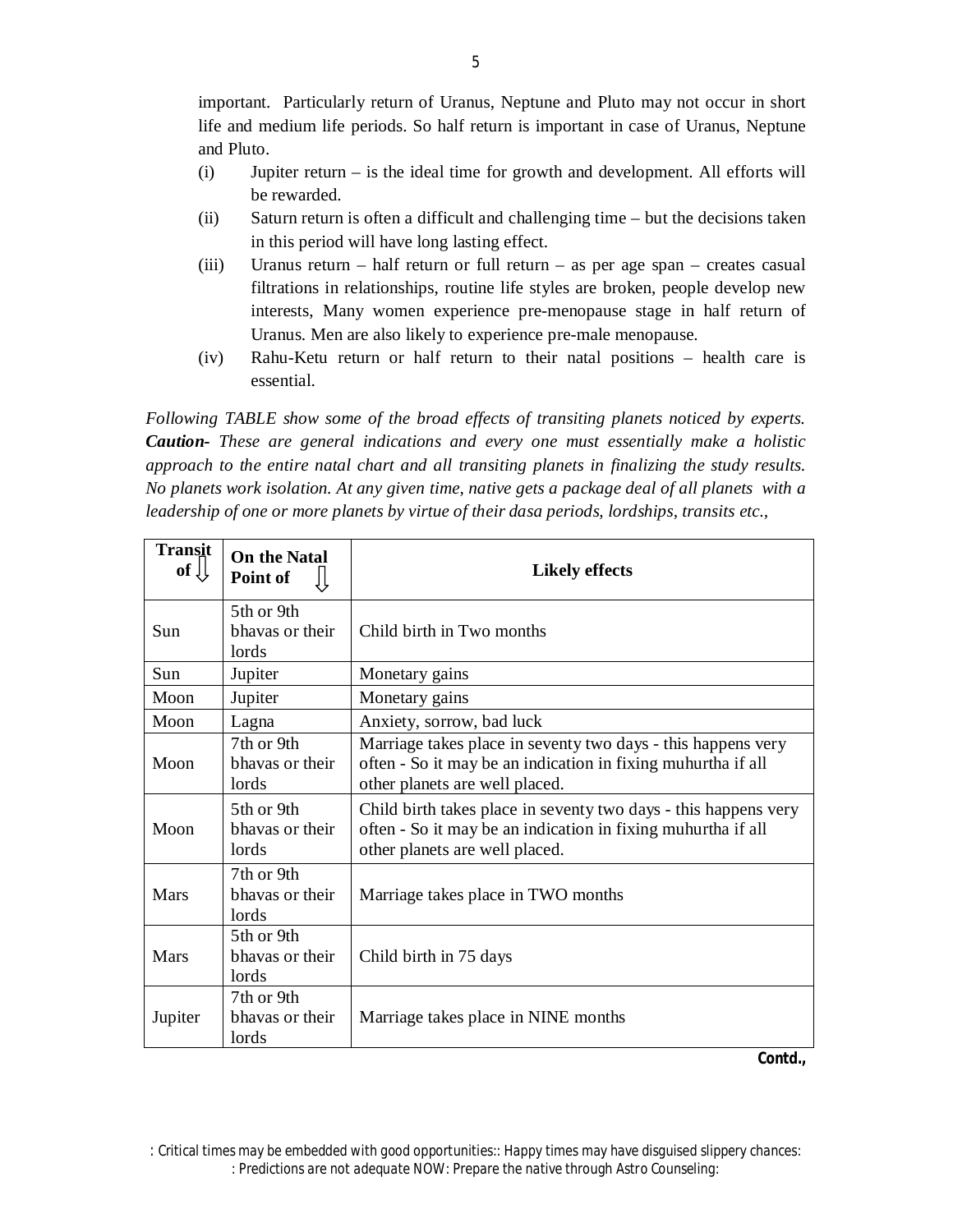important.Particularly return of Uranus, Neptune and Pluto may not occur in short life and medium life periods. So half return is important in case of Uranus, Neptune and Pluto.

- (i) Jupiter return is the ideal time for growth and development. All efforts will be rewarded.
- (ii) Saturn return is often a difficult and challenging time but the decisions taken in this period will have long lasting effect.
- (iii) Uranus return half return or full return as per age span creates casual filtrations in relationships, routine life styles are broken, people develop new interests, Many women experience pre-menopause stage in half return of Uranus. Men are also likely to experience pre-male menopause.
- (iv) Rahu-Ketu return or half return to their natal positions health care is essential.

*Following TABLE show some of the broad effects of transiting planets noticed by experts. Caution- These are general indications and every one must essentially make a holistic approach to the entire natal chart and all transiting planets in finalizing the study results. No planets work isolation. At any given time, native gets a package deal of all planets with a leadership of one or more planets by virtue of their dasa periods, lordships, transits etc.,*

| <b>Transit</b><br>of $\downarrow$ | <b>On the Natal</b><br>Point of        | <b>Likely effects</b>                                                                                                                                             |  |
|-----------------------------------|----------------------------------------|-------------------------------------------------------------------------------------------------------------------------------------------------------------------|--|
| <b>Sun</b>                        | 5th or 9th<br>bhavas or their<br>lords | Child birth in Two months                                                                                                                                         |  |
| Sun                               | Jupiter                                | Monetary gains                                                                                                                                                    |  |
| Moon                              | Jupiter                                | Monetary gains                                                                                                                                                    |  |
| Moon                              | Lagna                                  | Anxiety, sorrow, bad luck                                                                                                                                         |  |
| Moon                              | 7th or 9th<br>bhavas or their<br>lords | Marriage takes place in seventy two days - this happens very<br>often - So it may be an indication in fixing muhurtha if all<br>other planets are well placed.    |  |
| Moon                              | 5th or 9th<br>bhavas or their<br>lords | Child birth takes place in seventy two days - this happens very<br>often - So it may be an indication in fixing muhurtha if all<br>other planets are well placed. |  |
| Mars                              | 7th or 9th<br>bhavas or their<br>lords | Marriage takes place in TWO months                                                                                                                                |  |
| Mars                              | 5th or 9th<br>hhavas or their<br>lords | Child birth in 75 days                                                                                                                                            |  |
| Jupiter                           | 7th or 9th<br>bhavas or their<br>lords | Marriage takes place in NINE months                                                                                                                               |  |

*<sup>:</sup> Critical times may be embedded with good opportunities:: Happy times may have disguised slippery chances: : Predictions are not adequate NOW: Prepare the native through Astro Counseling:*